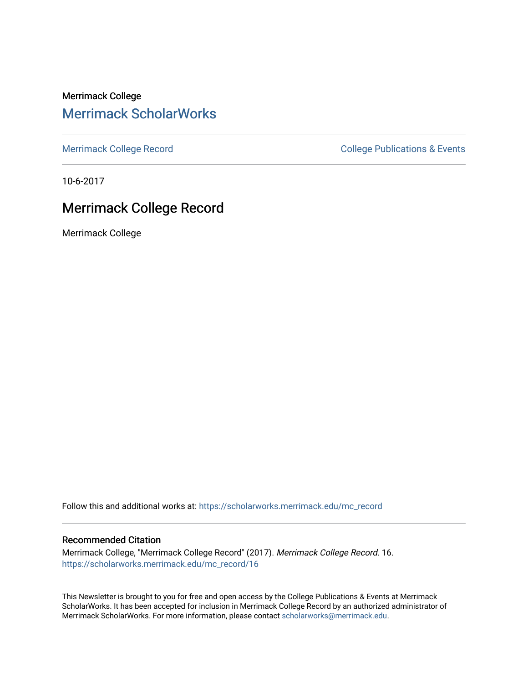Merrimack College [Merrimack ScholarWorks](https://scholarworks.merrimack.edu/) 

[Merrimack College Record](https://scholarworks.merrimack.edu/mc_record) **College Record** College Publications & Events

10-6-2017

## Merrimack College Record

Merrimack College

Follow this and additional works at: [https://scholarworks.merrimack.edu/mc\\_record](https://scholarworks.merrimack.edu/mc_record?utm_source=scholarworks.merrimack.edu%2Fmc_record%2F16&utm_medium=PDF&utm_campaign=PDFCoverPages) 

#### Recommended Citation

Merrimack College, "Merrimack College Record" (2017). Merrimack College Record. 16. [https://scholarworks.merrimack.edu/mc\\_record/16](https://scholarworks.merrimack.edu/mc_record/16?utm_source=scholarworks.merrimack.edu%2Fmc_record%2F16&utm_medium=PDF&utm_campaign=PDFCoverPages)

This Newsletter is brought to you for free and open access by the College Publications & Events at Merrimack ScholarWorks. It has been accepted for inclusion in Merrimack College Record by an authorized administrator of Merrimack ScholarWorks. For more information, please contact [scholarworks@merrimack.edu](mailto:scholarworks@merrimack.edu).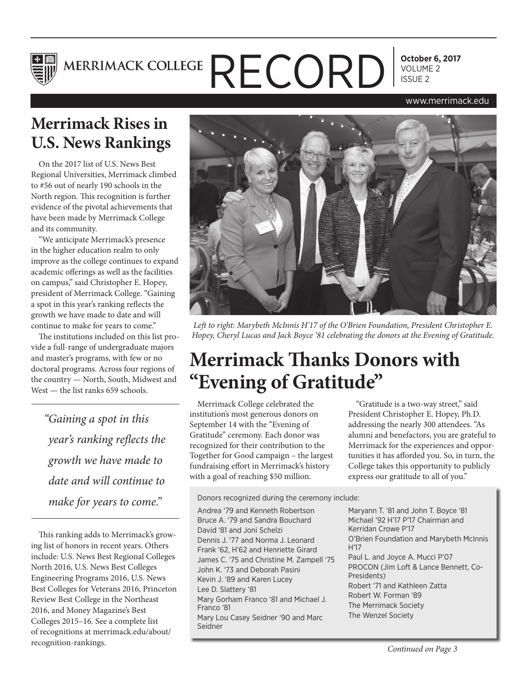

**October 6, 2017**

#### www.merrimack.edu

## **Merrimack Rises in U.S. News Rankings**

On the 2017 list of U.S. News Best Regional Universities, Merrimack climbed to #56 out of nearly 190 schools in the North region. This recognition is further evidence of the pivotal achievements that have been made by Merrimack College and its community.

"We anticipate Merrimack's presence in the higher education realm to only improve as the college continues to expand academic offerings as well as the facilities on campus," said Christopher E. Hopey, president of Merrimack College. "Gaining a spot in this year's ranking reflects the growth we have made to date and will continue to make for years to come."

The institutions included on this list provide a full-range of undergraduate majors and master's programs, with few or no doctoral programs. Across four regions of the country — North, South, Midwest and West — the list ranks 659 schools.

*"Gaining a spot in this year's ranking reflects the growth we have made to date and will continue to make for years to come."*

This ranking adds to Merrimack's growing list of honors in recent years. Others include: U.S. News Best Regional Colleges North 2016, U.S. News Best Colleges Engineering Programs 2016, U.S. News Best Colleges for Veterans 2016, Princeton Review Best College in the Northeast 2016, and Money Magazine's Best Colleges 2015–16. See a complete list of recognitions at merrimack.edu/about/ recognition-rankings.



*Left to right: Marybeth McInnis H'17 of the O'Brien Foundation, President Christopher E. Hopey, Cheryl Lucas and Jack Boyce '81 celebrating the donors at the Evening of Gratitude.* 

## **Merrimack Thanks Donors with "Evening of Gratitude"**

Merrimack College celebrated the institution's most generous donors on September 14 with the "Evening of Gratitude" ceremony. Each donor was recognized for their contribution to the Together for Good campaign – the largest fundraising effort in Merrimack's history with a goal of reaching \$50 million.

Donors recognized during the ceremony include:

Andrea '79 and Kenneth Robertson Bruce A. '79 and Sandra Bouchard David '81 and Joni Schelzi Dennis J. '77 and Norma J. Leonard Frank '62, H'62 and Henriette Girard James C. '75 and Christine M. Zampell '75 John K. '73 and Deborah Pasini Kevin J. '89 and Karen Lucey Lee D. Slattery '81 Mary Gorham Franco '81 and Michael J. Franco '81 Mary Lou Casey Seidner '90 and Marc Seidner

"Gratitude is a two-way street," said President Christopher E. Hopey, Ph.D. addressing the nearly 300 attendees. "As alumni and benefactors, you are grateful to Merrimack for the experiences and opportunities it has afforded you. So, in turn, the College takes this opportunity to publicly express our gratitude to all of you."

Maryann T. '81 and John T. Boyce '81 Michael '92 H'17 P'17 Chairman and Kerridan Crowe P'17 O'Brien Foundation and Marybeth McInnis H'17 Paul L. and Joyce A. Mucci P'07 PROCON (Jim Loft & Lance Bennett, Co-Presidents) Robert '71 and Kathleen Zatta Robert W. Forman '89 The Merrimack Society The Wenzel Society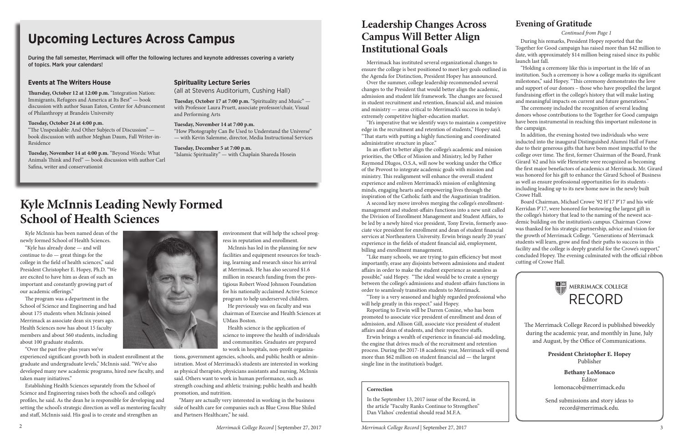# **Kyle McInnis Leading Newly Formed School of Health Sciences**

Kyle McInnis has been named dean of the newly formed School of Health Sciences.

"Kyle has already done — and will continue to do — great things for the college in the field of health sciences," said President Christopher E. Hopey, Ph.D. "We are excited to have him as dean of such an important and constantly growing part of our academic offerings."

The program was a department in the School of Science and Engineering and had about 175 students when McInnis joined Merrimack as associate dean six years ago. Health Sciences now has about 15 faculty members and about 560 students, including about 100 graduate students.

"Over the past five-plus years we've

experienced significant growth both in student enrollment at the graduate and undergraduate levels," McInnis said. "We've also developed many new academic programs, hired new faculty, and taken many initiatives."

Establishing Health Sciences separately from the School of Science and Engineering raises both the school's and college's profiles, he said. As the dean he is responsible for developing and setting the school's strategic direction as well as mentoring faculty and staff, McInnis said. His goal is to create and strengthen an



environment that will help the school progress in reputation and enrollment.

McInnis has led in the planning for new facilities and equipment resources for teaching, learning and research since his arrival at Merrimack. He has also secured \$1.6 million in research funding from the prestigious Robert Wood Johnson Foundation for his nationally acclaimed Active Science program to help underserved children.

He previously was on faculty and was chairman of Exercise and Health Sciences at UMass Boston.

Health science is the application of science to improve the health of individuals and communities. Graduates are prepared to work in hospitals, non-profit organiza-

tions, government agencies, schools, and public health or administration. Most of Merrimack's students are interested in working as physical therapists, physicians assistants and nursing, McInnis said. Others want to work in human performance, such as strength coaching and athletic training; public health and health promotion, and nutrition.

"Many are actually very interested in working in the business side of health care for companies such as Blue Cross Blue Shiled and Partners Healthcare," he said.

# **Upcoming Lectures Across Campus**

During the fall semester, Merrimack will offer the following lectures and keynote addresses covering a variety of topics. Mark your calendars!

#### **Events at The Writers House**

**Thursday, October 12 at 12:00 p.m.** "Integration Nation: Immigrants, Refugees and America at Its Best" — book discussion with author Susan Eaton, Center for Advancement of Philanthropy at Brandeis University

**Tuesday, October 24 at 4:00 p.m.**  "The Unspeakable: And Other Subjects of Discussion" book discussion with author Meghan Daum, Fall Writer-in-Residence

**Tuesday, November 14 at 4:00 p.m.** "Beyond Words: What Animals Think and Feel" — book discussion with author Carl Safina, writer and conservationist

### **Spirituality Lecture Series**

(all at Stevens Auditorium, Cushing Hall)

**Tuesday, October 17 at 7:00 p.m.** "Spirituality and Music" with Professor Laura Pruett, associate professor/chair, Visual and Performing Arts

#### **Tuesday, November 14 at 7:00 p.m.**

"How Photography Can Be Used to Understand the Universe" — with Kevin Salemme, director, Media Instructional Services

#### **Tuesday, December 5 at 7:00 p.m.**

"Islamic Spirituality" — with Chaplain Shareda Hosein

The Merrimack College Record is published biweekly during the academic year, and monthly in June, July and August, by the Office of Communications.

> **President Christopher E. Hopey** Publisher

**Bethany LoMonaco** Editor lomonacob@merrimack.edu

Send submissions and story ideas to record@merrimack.edu.

RECORD

MERRIMACK COLLEGE

During his remarks, President Hopey reported that the Together for Good campaign has raised more than \$42 million to date, with approximately \$14 million being raised since its public launch last fall.

"Holding a ceremony like this is important in the life of an institution. Such a ceremony is how a college marks its significant milestones," said Hopey. "This ceremony demonstrates the love and support of our donors – those who have propelled the largest fundraising effort in the college's history that will make lasting and meaningful impacts on current and future generations."

The ceremony included the recognition of several leading donors whose contributions to the Together for Good campaign have been instrumental in reaching this important milestone in the campaign.

In addition, the evening hosted two individuals who were inducted into the inaugural Distinguished Alumni Hall of Fame due to their generous gifts that have been most impactful to the college over time. The first, former Chairman of the Board, Frank Girard '62 and his wife Henriette were recognized as becoming the first major benefactors of academics at Merrimack. Mr. Girard was honored for his gift to enhance the Girard School of Business as well as ensure professional opportunities for its students including leading up to its new home now in the newly built Crowe Hall.

Board Chairman, Michael Crowe '92 H'17 P'17 and his wife Kerridan P'17, were honored for bestowing the largest gift in the college's history that lead to the naming of the newest academic building on the institution's campus. Chairman Crowe was thanked for his strategic partnership, advice and vision for the growth of Merrimack College. "Generations of Merrimack students will learn, grow and find their paths to success in this facility and the college is deeply grateful for the Crowe's support," concluded Hopey. The evening culminated with the official ribbon cutting of Crowe Hall.

## **Evening of Gratitude**

#### *Continued from Page 1*

#### **Correction**

In the September 13, 2017 issue of the Record, in the article "Faculty Ranks Continue to Strengthen" Dan Vlahos' credential should read M.F.A.

## **Leadership Changes Across Campus Will Better Align Institutional Goals**

Merrimack has instituted several organizational changes to ensure the college is best positioned to meet key goals outlined in the Agenda for Distinction, President Hopey has announced.

Over the summer, college leadership recommended several changes to the President that would better align the academic, admission and student life framework. The changes are focused in student recruitment and retention, financial aid, and mission and ministry — areas critical to Merrimack's success in today's extremely competitive higher-education market.

"It's imperative that we identify ways to maintain a competitive edge in the recruitment and retention of students," Hopey said. "That starts with putting a highly functioning and coordinated administrative structure in place."

In an effort to better align the college's academic and mission priorities, the Office of Mission and Ministry, led by Father Raymond Dlugos, O.S.A, will now be working under the Office of the Provost to integrate academic goals with mission and ministry. This realignment will enhance the overall student experience and enliven Merrimack's mission of enlightening minds, engaging hearts and empowering lives through the inspiration of the Catholic faith and the Augustinian tradition.

A second key move involves merging the college's enrollmentmanagement and student-affairs functions into a new unit called the Division of Enrollment Management and Student Affairs, to be led by a newly hired vice president, Tony Erwin, formerly associate vice president for enrollment and dean of student financial services at Northeastern University. Erwin brings nearly 20 years' experience in the fields of student financial aid, employment, billing and enrollment management.

"Like many schools, we are trying to gain efficiency but most importantly, erase any disjoints between admissions and student affairs in order to make the student experience as seamless as possible," said Hopey. "The ideal would be to create a synergy between the college's admissions and student-affairs functions in order to seamlessly transition students to Merrimack. "Tony is a very seasoned and highly regarded professional who

will help greatly in this respect." said Hopey.

Reporting to Erwin will be Darren Conine, who has been promoted to associate vice president of enrollment and dean of admission, and Allison Gill, associate vice president of student affairs and dean of students, and their respective staffs.

Erwin brings a wealth of experience in financial-aid modeling, the engine that drives much of the recruitment and retention process. During the 2017-18 academic year, Merrimack will spend more than \$62 million on student financial aid — the largest single line in the institution's budget.